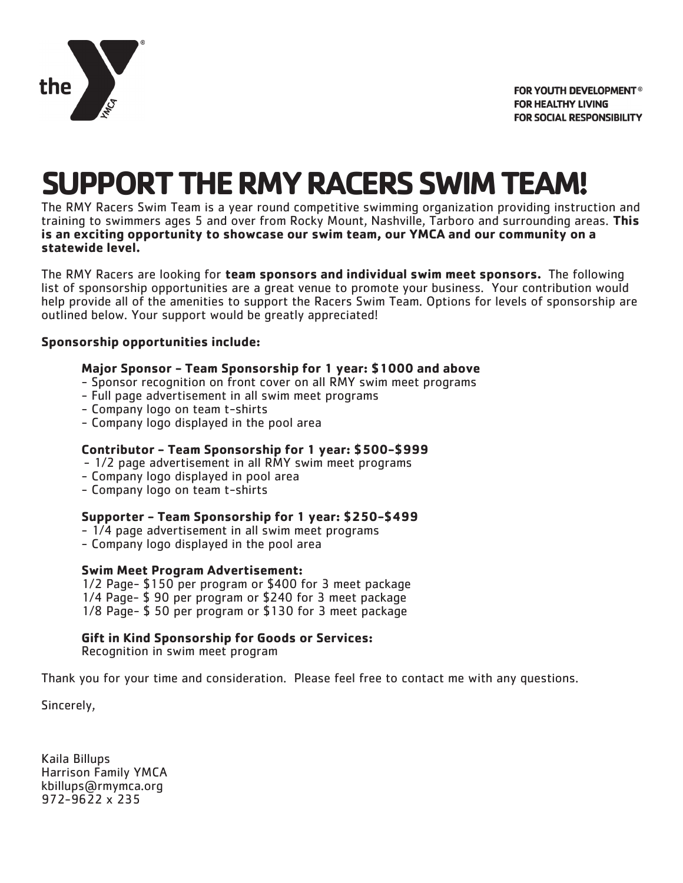

# **SUPPORT THE RMY RACERS SWIM TEAM!**

The RMY Racers Swim Team is a year round competitive swimming organization providing instruction and training to swimmers ages 5 and over from Rocky Mount, Nashville, Tarboro and surrounding areas. **This is an exciting opportunity to showcase our swim team, our YMCA and our community on a statewide level.** 

The RMY Racers are looking for **team sponsors and individual swim meet sponsors.** The following list of sponsorship opportunities are a great venue to promote your business. Your contribution would help provide all of the amenities to support the Racers Swim Team. Options for levels of sponsorship are outlined below. Your support would be greatly appreciated!

#### **Sponsorship opportunities include:**

#### **Major Sponsor - Team Sponsorship for 1 year: \$1000 and above**

- Sponsor recognition on front cover on all RMY swim meet programs
- Full page advertisement in all swim meet programs
- Company logo on team t-shirts
- Company logo displayed in the pool area

#### **Contributor - Team Sponsorship for 1 year: \$500-\$999**

- 1/2 page advertisement in all RMY swim meet programs
- Company logo displayed in pool area
- Company logo on team t-shirts

#### **Supporter - Team Sponsorship for 1 year: \$250-\$499**

- 1/4 page advertisement in all swim meet programs
- Company logo displayed in the pool area

#### **Swim Meet Program Advertisement:**

1/2 Page- \$150 per program or \$400 for 3 meet package 1/4 Page- \$ 90 per program or \$240 for 3 meet package 1/8 Page- \$ 50 per program or \$130 for 3 meet package

**Gift in Kind Sponsorship for Goods or Services:**

Recognition in swim meet program

Thank you for your time and consideration. Please feel free to contact me with any questions.

Sincerely,

Kaila Billups Harrison Family YMCA kbillups@rmymca.org 972-9622 x 235